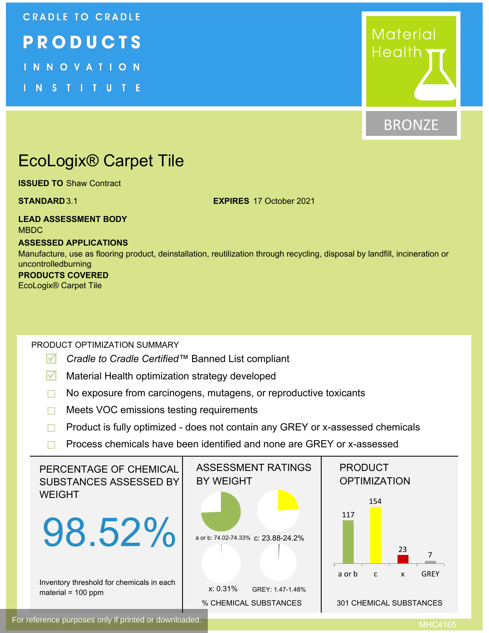# **CRADLE TO CRADLE** PRODUCTS INNOVATION **N S T I T U T E**



# **BRONZE**

# EcoLogix® Carpet Tile

**ISSUED TO** Shaw Contract

**STANDARD** 3.1 **EXPIRES** 17 October 2021

## **LEAD ASSESSMENT BODY** MBDC

# **ASSESSED APPLICATIONS**

Manufacture, use as flooring product, deinstallation, reutilization through recycling, disposal by landfill, incineration or uncontrolledburning **PRODUCTS COVERED**

# EcoLogix® Carpet Tile

# PRODUCT OPTIMIZATION SUMMARY

- **R** *Cradle to Cradle Certified™* Banned List compliant
- **M** Material Health optimization strategy developed
- No exposure from carcinogens, mutagens, or reproductive toxicants
- **□** Meets VOC emissions testing requirements
- $\Box$  Product is fully optimized does not contain any GREY or x-assessed chemicals
- $\Box$  Process chemicals have been identified and none are GREY or x-assessed